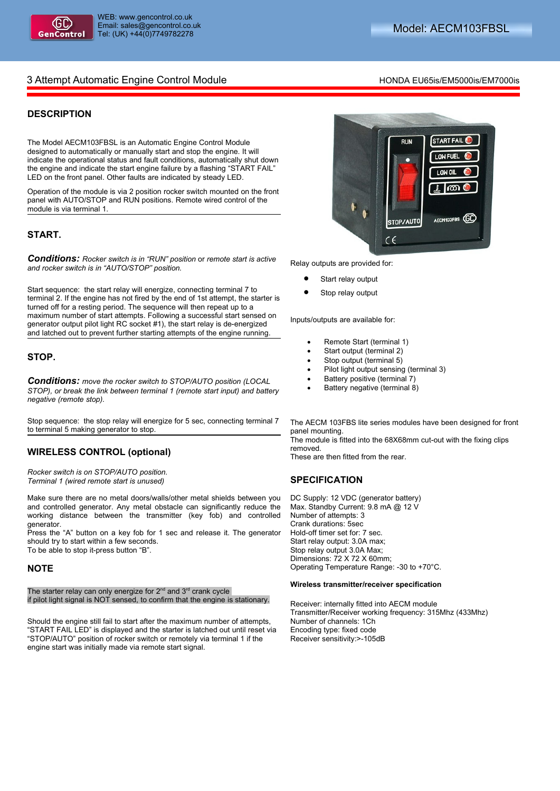

# 3 Attempt Automatic Engine Control Module **Honda** EU65is/EM5000is/EM7000is

## **DESCRIPTION**

The Model AECM103FBSL is an Automatic Engine Control Module designed to automatically or manually start and stop the engine. It will indicate the operational status and fault conditions, automatically shut down the engine and indicate the start engine failure by a flashing "START FAIL" LED on the front panel. Other faults are indicated by steady LED.

Operation of the module is via 2 position rocker switch mounted on the front panel with AUTO/STOP and RUN positions. Remote wired control of the module is via terminal 1.

#### **START.**

*Conditions: Rocker switch is in "RUN" position* or *remote start is active and rocker switch is in "AUTO/STOP" position.*

Start sequence: the start relay will energize, connecting terminal 7 to terminal 2. If the engine has not fired by the end of 1st attempt, the starter is turned off for a resting period. The sequence will then repeat up to a maximum number of start attempts. Following a successful start sensed on generator output pilot light RC socket #1), the start relay is de-energized and latched out to prevent further starting attempts of the engine running.

### **STOP.**

*Conditions: move the rocker switch to STOP/AUTO position (LOCAL STOP), or break the link between terminal 1 (remote start input) and battery negative (remote stop).*

Stop sequence: the stop relay will energize for 5 sec, connecting terminal 7 to terminal 5 making generator to stop.

### **WIRELESS CONTROL (optional)**

*Rocker switch is on STOP/AUTO position. Terminal 1 (wired remote start is unused)*

Make sure there are no metal doors/walls/other metal shields between you and controlled generator. Any metal obstacle can significantly reduce the working distance between the transmitter (key fob) and controlled generator.

Press the "A" button on a key fob for 1 sec and release it. The generator should try to start within a few seconds.

To be able to stop it-press button "B".

#### **NOTE**

The starter relay can only energize for  $2<sup>nd</sup>$  and  $3<sup>rd</sup>$  crank cycle if pilot light signal is NOT sensed, to confirm that the engine is stationary.

Should the engine still fail to start after the maximum number of attempts, "START FAIL LED" is displayed and the starter is latched out until reset via "STOP/AUTO" position of rocker switch or remotely via terminal 1 if the engine start was initially made via remote start signal.



Relay outputs are provided for:

- Start relay output
- Stop relay output

Inputs/outputs are available for:

- Remote Start (terminal 1)
- Start output (terminal 2)
- Stop output (terminal 5)
- Pilot light output sensing (terminal 3)
- Battery positive (terminal 7)
- Battery negative (terminal 8)

The AECM 103FBS lite series modules have been designed for front panel mounting.

The module is fitted into the 68X68mm cut-out with the fixing clips removed.

These are then fitted from the rear.

### **SPECIFICATION**

DC Supply: 12 VDC (generator battery) Max. Standby Current: 9.8 mA @ 12 V Number of attempts: 3 Crank durations: 5sec Hold-off timer set for: 7 sec. Start relay output: 3.0A max; Stop relay output 3.0A Max; Dimensions: 72 X 72 X 60mm; Operating Temperature Range: -30 to +70°C.

#### **Wireless transmitter/receiver specification**

Receiver: internally fitted into AECM module Transmitter/Receiver working frequency: 315Mhz (433Mhz) Number of channels: 1Ch Encoding type: fixed code Receiver sensitivity:>-105dB